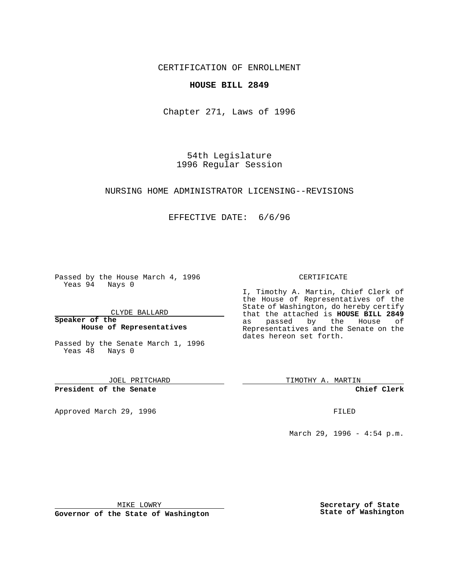CERTIFICATION OF ENROLLMENT

## **HOUSE BILL 2849**

Chapter 271, Laws of 1996

54th Legislature 1996 Regular Session

#### NURSING HOME ADMINISTRATOR LICENSING--REVISIONS

## EFFECTIVE DATE: 6/6/96

Passed by the House March 4, 1996 Yeas 94 Nays 0

CLYDE BALLARD

**Speaker of the House of Representatives**

Passed by the Senate March 1, 1996 Yeas 48 Nays 0

JOEL PRITCHARD

**President of the Senate**

Approved March 29, 1996 **FILED** 

#### CERTIFICATE

I, Timothy A. Martin, Chief Clerk of the House of Representatives of the State of Washington, do hereby certify that the attached is **HOUSE BILL 2849** by the House of Representatives and the Senate on the dates hereon set forth.

TIMOTHY A. MARTIN

**Chief Clerk**

March 29, 1996 - 4:54 p.m.

MIKE LOWRY

**Governor of the State of Washington**

**Secretary of State State of Washington**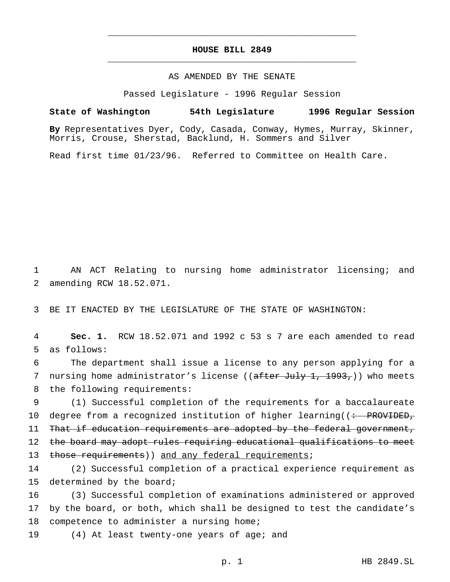# **HOUSE BILL 2849** \_\_\_\_\_\_\_\_\_\_\_\_\_\_\_\_\_\_\_\_\_\_\_\_\_\_\_\_\_\_\_\_\_\_\_\_\_\_\_\_\_\_\_\_\_\_\_

\_\_\_\_\_\_\_\_\_\_\_\_\_\_\_\_\_\_\_\_\_\_\_\_\_\_\_\_\_\_\_\_\_\_\_\_\_\_\_\_\_\_\_\_\_\_\_

### AS AMENDED BY THE SENATE

Passed Legislature - 1996 Regular Session

#### **State of Washington 54th Legislature 1996 Regular Session**

**By** Representatives Dyer, Cody, Casada, Conway, Hymes, Murray, Skinner, Morris, Crouse, Sherstad, Backlund, H. Sommers and Silver

Read first time 01/23/96. Referred to Committee on Health Care.

1 AN ACT Relating to nursing home administrator licensing; and 2 amending RCW 18.52.071.

3 BE IT ENACTED BY THE LEGISLATURE OF THE STATE OF WASHINGTON:

4 **Sec. 1.** RCW 18.52.071 and 1992 c 53 s 7 are each amended to read 5 as follows:

6 The department shall issue a license to any person applying for a 7 nursing home administrator's license ((after July 1, 1993,)) who meets 8 the following requirements:

9 (1) Successful completion of the requirements for a baccalaureate 10 degree from a recognized institution of higher learning((: PROVIDED, 11 That if education requirements are adopted by the federal government, 12 the board may adopt rules requiring educational qualifications to meet 13 those requirements)) and any federal requirements;

14 (2) Successful completion of a practical experience requirement as 15 determined by the board;

16 (3) Successful completion of examinations administered or approved 17 by the board, or both, which shall be designed to test the candidate's 18 competence to administer a nursing home;

19 (4) At least twenty-one years of age; and

p. 1 HB 2849.SL